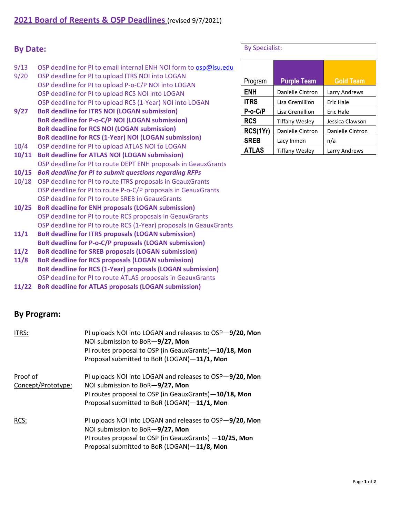## **By Date:**

- 9/13 OSP deadline for PI to email internal ENH NOI form to **[osp@lsu.edu](mailto:osp@lsu.edu)**
- 9/20 OSP deadline for PI to upload ITRS NOI into LOGAN OSP deadline for PI to upload P‐o‐C/P NOI into LOGAN OSP deadline for PI to upload RCS NOI into LOGAN OSP deadline for PI to upload RCS (1‐Year) NOI into LOGAN
- **9/27 BoR deadline for ITRS NOI (LOGAN submission) BoR deadline for P‐o‐C/P NOI (LOGAN submission) BoR deadline for RCS NOI (LOGAN submission) BoR deadline for RCS (1‐Year) NOI (LOGAN submission)**
- 10/4 OSP deadline for PI to upload ATLAS NOI to LOGAN
- **10/11 BoR deadline for ATLAS NOI (LOGAN submission)** OSP deadline for PI to route DEPT ENH proposals in GeauxGrants
- **10/15** *BoR deadline for PI to submit questions regarding RFPs*
- 10/18 OSP deadline for PI to route ITRS proposals in GeauxGrants OSP deadline for PI to route P‐o‐C/P proposals in GeauxGrants OSP deadline for PI to route SREB in GeauxGrants
- **10/25 BoR deadline for ENH proposals (LOGAN submission)** OSP deadline for PI to route RCS proposals in GeauxGrants OSP deadline for PI to route RCS (1‐Year) proposals in GeauxGrants
- **11/1 BoR deadline for ITRS proposals (LOGAN submission) BoR deadline for P‐o‐C/P proposals (LOGAN submission)**
- **11/2 BoR deadline for SREB proposals (LOGAN submission)**
- **BoR deadline for RCS (1‐Year) proposals (LOGAN submission)** OSP deadline for PI to route ATLAS proposals in GeauxGrants **11/8 BoR deadline for RCS proposals (LOGAN submission)**
- **11/22 BoR deadline for ATLAS proposals (LOGAN submission)**

## **By Program:**

| ITRS:                          | PI uploads NOI into LOGAN and releases to OSP-9/20, Mon<br>NOI submission to BoR-9/27, Mon<br>PI routes proposal to OSP (in GeauxGrants)-10/18, Mon<br>Proposal submitted to BoR (LOGAN)-11/1, Mon  |
|--------------------------------|-----------------------------------------------------------------------------------------------------------------------------------------------------------------------------------------------------|
| Proof of<br>Concept/Prototype: | PI uploads NOI into LOGAN and releases to OSP-9/20, Mon<br>NOI submission to BoR-9/27, Mon<br>PI routes proposal to OSP (in GeauxGrants)-10/18, Mon<br>Proposal submitted to BoR (LOGAN)-11/1, Mon  |
| RCS:                           | PI uploads NOI into LOGAN and releases to OSP-9/20, Mon<br>NOI submission to BoR-9/27, Mon<br>PI routes proposal to OSP (in GeauxGrants) -10/25, Mon<br>Proposal submitted to BoR (LOGAN)-11/8, Mon |

## By Specialist:

| Program      | <b>Purple Team</b>    | <b>Gold Team</b> |
|--------------|-----------------------|------------------|
| <b>ENH</b>   | Danielle Cintron      | Larry Andrews    |
| <b>ITRS</b>  | Lisa Gremillion       | Eric Hale        |
| $P-o-C/P$    | Lisa Gremillion       | Eric Hale        |
| <b>RCS</b>   | <b>Tiffany Wesley</b> | Jessica Clawson  |
| RCS(1Yr)     | Danielle Cintron      | Danielle Cintron |
| <b>SREB</b>  | Lacy Inmon            | n/a              |
| <b>ATLAS</b> | <b>Tiffany Wesley</b> | Larry Andrews    |